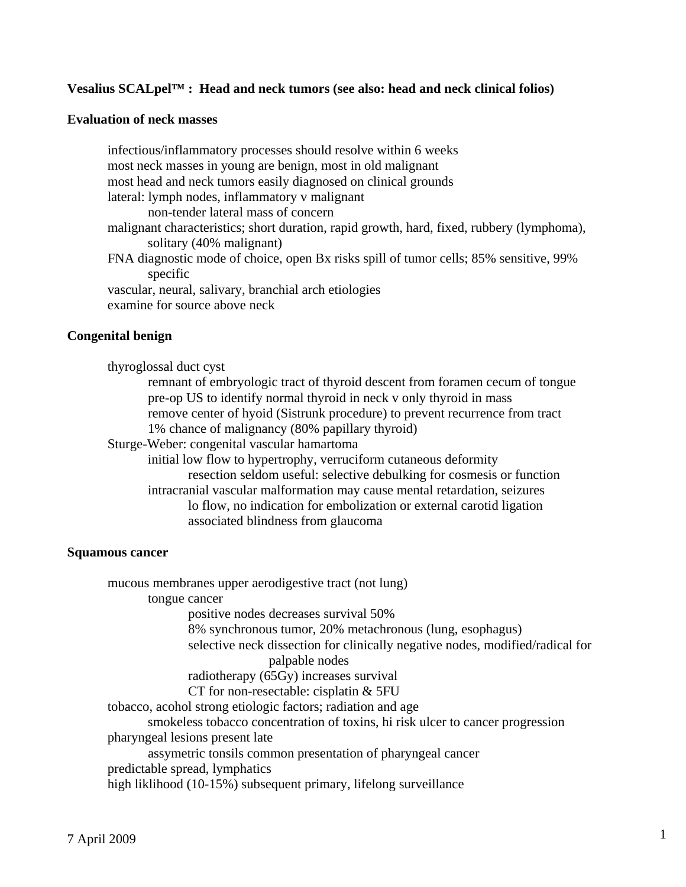## **Vesalius SCALpel™ : Head and neck tumors (see also: head and neck clinical folios)**

#### **Evaluation of neck masses**

 infectious/inflammatory processes should resolve within 6 weeks most neck masses in young are benign, most in old malignant most head and neck tumors easily diagnosed on clinical grounds lateral: lymph nodes, inflammatory v malignant non-tender lateral mass of concern malignant characteristics; short duration, rapid growth, hard, fixed, rubbery (lymphoma), solitary (40% malignant) FNA diagnostic mode of choice, open Bx risks spill of tumor cells; 85% sensitive, 99% specific vascular, neural, salivary, branchial arch etiologies examine for source above neck

#### **Congenital benign**

 thyroglossal duct cyst remnant of embryologic tract of thyroid descent from foramen cecum of tongue pre-op US to identify normal thyroid in neck v only thyroid in mass remove center of hyoid (Sistrunk procedure) to prevent recurrence from tract 1% chance of malignancy (80% papillary thyroid) Sturge-Weber: congenital vascular hamartoma initial low flow to hypertrophy, verruciform cutaneous deformity resection seldom useful: selective debulking for cosmesis or function intracranial vascular malformation may cause mental retardation, seizures lo flow, no indication for embolization or external carotid ligation associated blindness from glaucoma

#### **Squamous cancer**

 mucous membranes upper aerodigestive tract (not lung) tongue cancer positive nodes decreases survival 50% 8% synchronous tumor, 20% metachronous (lung, esophagus) selective neck dissection for clinically negative nodes, modified/radical for palpable nodes radiotherapy (65Gy) increases survival CT for non-resectable: cisplatin & 5FU tobacco, acohol strong etiologic factors; radiation and age smokeless tobacco concentration of toxins, hi risk ulcer to cancer progression pharyngeal lesions present late assymetric tonsils common presentation of pharyngeal cancer predictable spread, lymphatics high liklihood (10-15%) subsequent primary, lifelong surveillance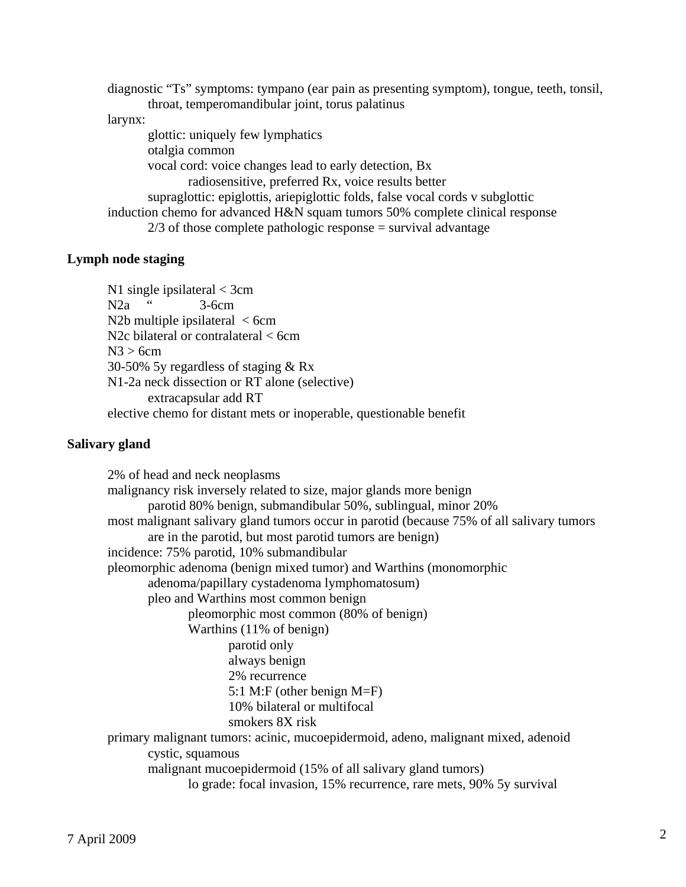diagnostic "Ts" symptoms: tympano (ear pain as presenting symptom), tongue, teeth, tonsil, throat, temperomandibular joint, torus palatinus larynx: glottic: uniquely few lymphatics otalgia common vocal cord: voice changes lead to early detection, Bx radiosensitive, preferred Rx, voice results better supraglottic: epiglottis, ariepiglottic folds, false vocal cords v subglottic induction chemo for advanced H&N squam tumors 50% complete clinical response  $2/3$  of those complete pathologic response = survival advantage

## **Lymph node staging**

 N1 single ipsilateral < 3cm N2a " 3-6cm N2b multiple ipsilateral  $\langle$  6cm N<sub>2</sub>c bilateral or contralateral < 6cm  $N3 > 6cm$  30-50% 5y regardless of staging & Rx N1-2a neck dissection or RT alone (selective) extracapsular add RT elective chemo for distant mets or inoperable, questionable benefit

#### **Salivary gland**

 2% of head and neck neoplasms malignancy risk inversely related to size, major glands more benign parotid 80% benign, submandibular 50%, sublingual, minor 20% most malignant salivary gland tumors occur in parotid (because 75% of all salivary tumors are in the parotid, but most parotid tumors are benign) incidence: 75% parotid, 10% submandibular pleomorphic adenoma (benign mixed tumor) and Warthins (monomorphic adenoma/papillary cystadenoma lymphomatosum) pleo and Warthins most common benign pleomorphic most common (80% of benign) Warthins (11% of benign) parotid only always benign 2% recurrence 5:1 M:F (other benign M=F) 10% bilateral or multifocal smokers 8X risk primary malignant tumors: acinic, mucoepidermoid, adeno, malignant mixed, adenoid cystic, squamous malignant mucoepidermoid (15% of all salivary gland tumors) lo grade: focal invasion, 15% recurrence, rare mets, 90% 5y survival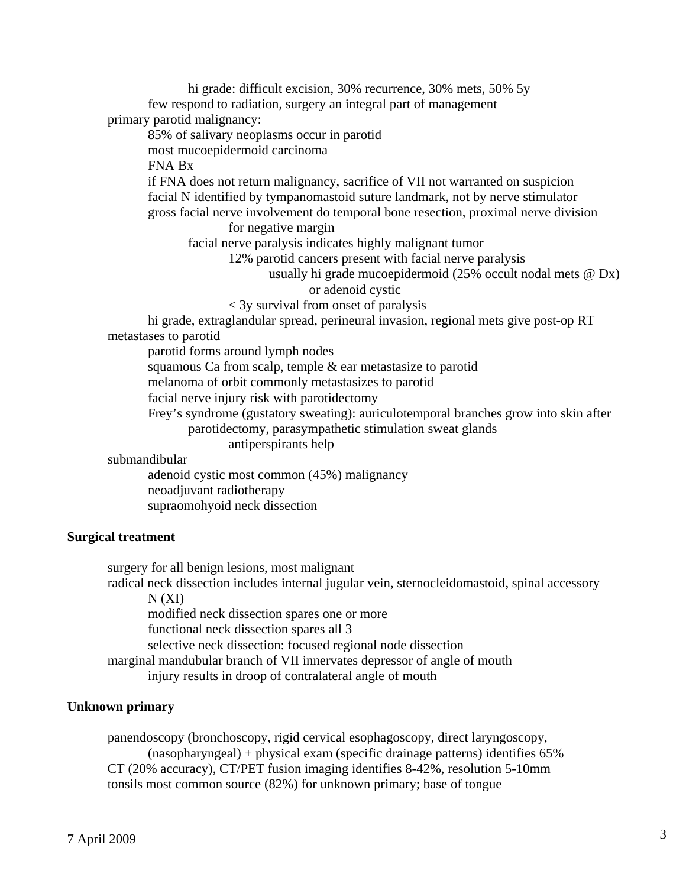hi grade: difficult excision, 30% recurrence, 30% mets, 50% 5y few respond to radiation, surgery an integral part of management primary parotid malignancy:

85% of salivary neoplasms occur in parotid

most mucoepidermoid carcinoma

FNA Bx

 if FNA does not return malignancy, sacrifice of VII not warranted on suspicion facial N identified by tympanomastoid suture landmark, not by nerve stimulator gross facial nerve involvement do temporal bone resection, proximal nerve division

for negative margin

facial nerve paralysis indicates highly malignant tumor

12% parotid cancers present with facial nerve paralysis

 usually hi grade mucoepidermoid (25% occult nodal mets @ Dx) or adenoid cystic

< 3y survival from onset of paralysis

 hi grade, extraglandular spread, perineural invasion, regional mets give post-op RT metastases to parotid

parotid forms around lymph nodes

squamous Ca from scalp, temple & ear metastasize to parotid

melanoma of orbit commonly metastasizes to parotid

facial nerve injury risk with parotidectomy

 Frey's syndrome (gustatory sweating): auriculotemporal branches grow into skin after parotidectomy, parasympathetic stimulation sweat glands

antiperspirants help

submandibular

 adenoid cystic most common (45%) malignancy neoadjuvant radiotherapy supraomohyoid neck dissection

## **Surgical treatment**

 surgery for all benign lesions, most malignant radical neck dissection includes internal jugular vein, sternocleidomastoid, spinal accessory  $N(XI)$  modified neck dissection spares one or more functional neck dissection spares all 3 selective neck dissection: focused regional node dissection marginal mandubular branch of VII innervates depressor of angle of mouth injury results in droop of contralateral angle of mouth

## **Unknown primary**

 panendoscopy (bronchoscopy, rigid cervical esophagoscopy, direct laryngoscopy, (nasopharyngeal) + physical exam (specific drainage patterns) identifies 65% CT (20% accuracy), CT/PET fusion imaging identifies 8-42%, resolution 5-10mm tonsils most common source (82%) for unknown primary; base of tongue